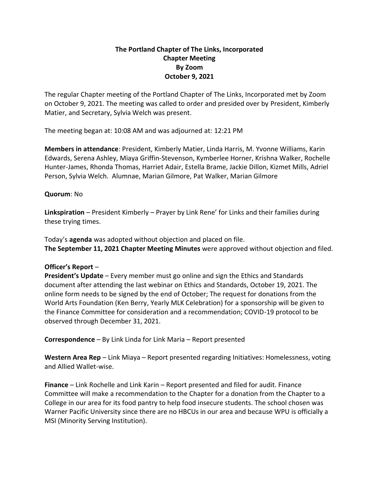## **The Portland Chapter of The Links, Incorporated Chapter Meeting By Zoom October 9, 2021**

The regular Chapter meeting of the Portland Chapter of The Links, Incorporated met by Zoom on October 9, 2021. The meeting was called to order and presided over by President, Kimberly Matier, and Secretary, Sylvia Welch was present.

The meeting began at: 10:08 AM and was adjourned at: 12:21 PM

**Members in attendance**: President, Kimberly Matier, Linda Harris, M. Yvonne Williams, Karin Edwards, Serena Ashley, Miaya Griffin-Stevenson, Kymberlee Horner, Krishna Walker, Rochelle Hunter-James, Rhonda Thomas, Harriet Adair, Estella Brame, Jackie Dillon, Kizmet Mills, Adriel Person, Sylvia Welch. Alumnae, Marian Gilmore, Pat Walker, Marian Gilmore

## **Quorum**: No

**Linkspiration** – President Kimberly – Prayer by Link Rene' for Links and their families during these trying times.

Today's **agenda** was adopted without objection and placed on file. **The September 11, 2021 Chapter Meeting Minutes** were approved without objection and filed.

## **Officer's Report** –

**President's Update** – Every member must go online and sign the Ethics and Standards document after attending the last webinar on Ethics and Standards, October 19, 2021. The online form needs to be signed by the end of October; The request for donations from the World Arts Foundation (Ken Berry, Yearly MLK Celebration) for a sponsorship will be given to the Finance Committee for consideration and a recommendation; COVID-19 protocol to be observed through December 31, 2021.

**Correspondence** – By Link Linda for Link Maria – Report presented

**Western Area Rep** – Link Miaya – Report presented regarding Initiatives: Homelessness, voting and Allied Wallet-wise.

**Finance** – Link Rochelle and Link Karin – Report presented and filed for audit. Finance Committee will make a recommendation to the Chapter for a donation from the Chapter to a College in our area for its food pantry to help food insecure students. The school chosen was Warner Pacific University since there are no HBCUs in our area and because WPU is officially a MSI (Minority Serving Institution).